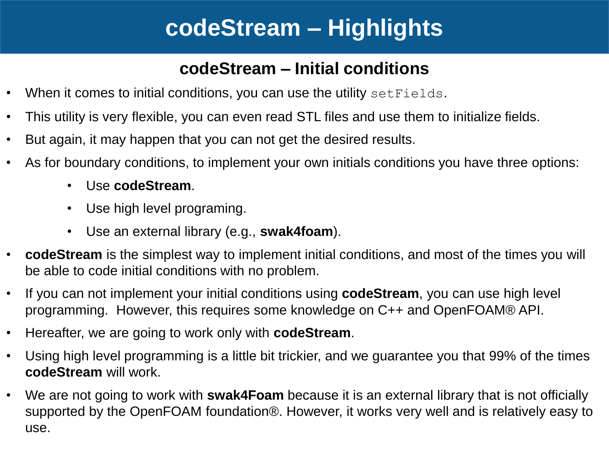# **codeStream – Highlights**

#### **codeStream – Initial conditions**

- When it comes to initial conditions, you can use the utility set Fields.
- This utility is very flexible, you can even read STL files and use them to initialize fields.
- But again, it may happen that you can not get the desired results.
- As for boundary conditions, to implement your own initials conditions you have three options:
	- Use **codeStream**.
	- Use high level programing.
	- Use an external library (e.g., **swak4foam**).
- **codeStream** is the simplest way to implement initial conditions, and most of the times you will be able to code initial conditions with no problem.
- If you can not implement your initial conditions using **codeStream**, you can use high level programming. However, this requires some knowledge on C++ and OpenFOAM® API.
- Hereafter, we are going to work only with **codeStream**.
- Using high level programming is a little bit trickier, and we guarantee you that 99% of the times **codeStream** will work.
- We are not going to work with **swak4Foam** because it is an external library that is not officially supported by the OpenFOAM foundation®. However, it works very well and is relatively easy to use.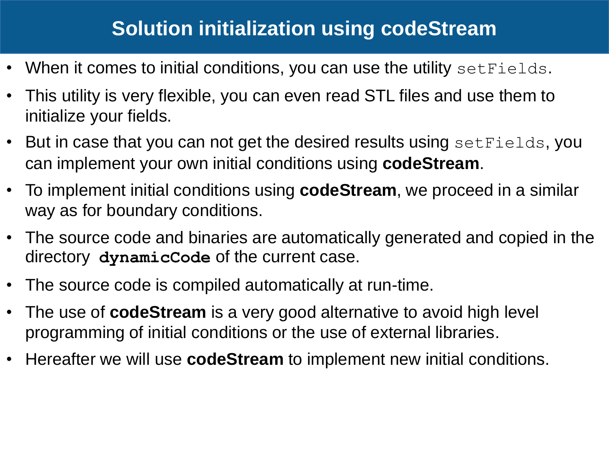- When it comes to initial conditions, you can use the utility set Fields.
- This utility is very flexible, you can even read STL files and use them to initialize your fields.
- But in case that you can not get the desired results using set Fields, you can implement your own initial conditions using **codeStream**.
- To implement initial conditions using **codeStream**, we proceed in a similar way as for boundary conditions.
- The source code and binaries are automatically generated and copied in the directory **dynamicCode** of the current case.
- The source code is compiled automatically at run-time.
- The use of **codeStream** is a very good alternative to avoid high level programming of initial conditions or the use of external libraries.
- Hereafter we will use **codeStream** to implement new initial conditions.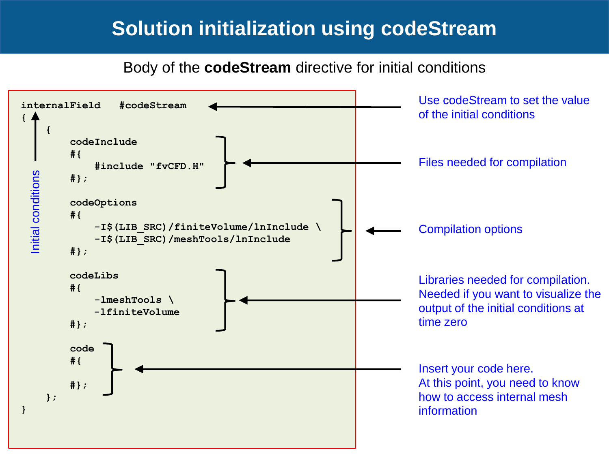Body of the **codeStream** directive for initial conditions

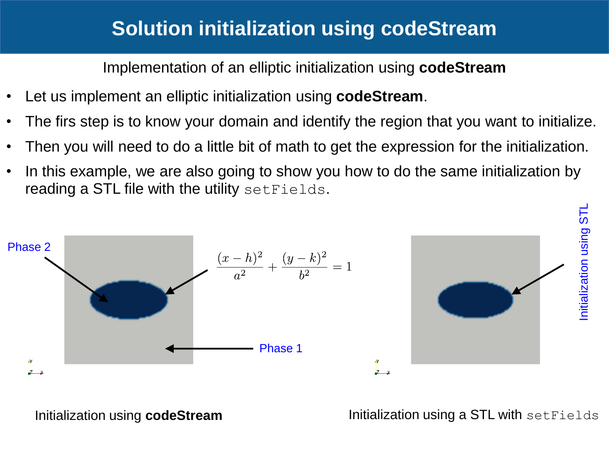Implementation of an elliptic initialization using **codeStream**

- Let us implement an elliptic initialization using **codeStream**.
- The firs step is to know your domain and identify the region that you want to initialize.
- Then you will need to do a little bit of math to get the expression for the initialization.
- In this example, we are also going to show you how to do the same initialization by reading a STL file with the utility set Fields.



Initialization using **codeStream Initialization using a STL with setFields**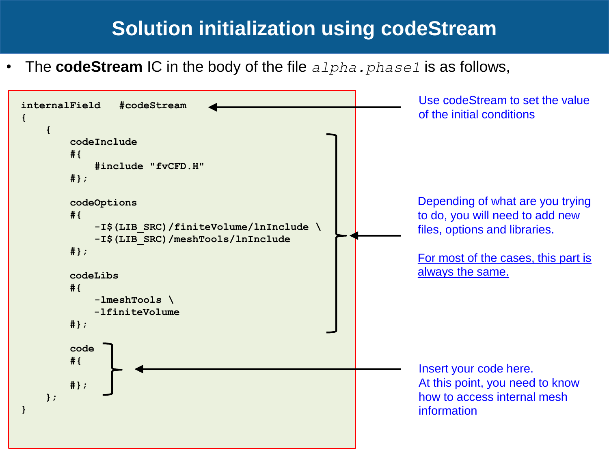• The **codeStream** IC in the body of the file *alpha.phase1* is as follows,

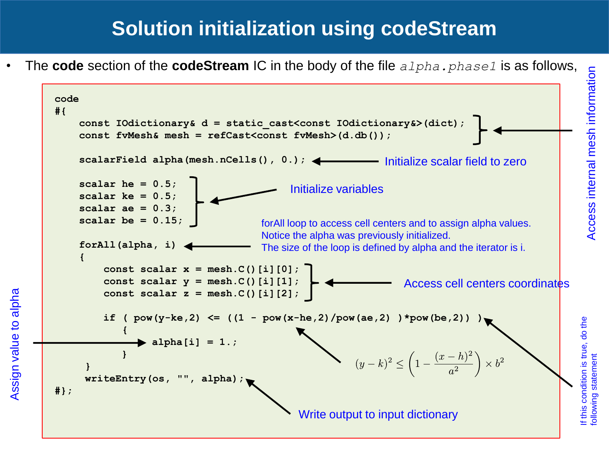• The **code** section of the **codeStream** IC in the body of the file *alpha.phase1* is as follows,



following statement

following statement

Assign value to alpha Assign value to alpha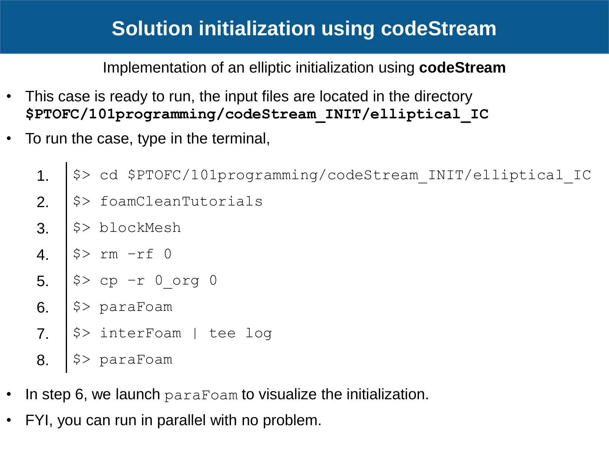Implementation of an elliptic initialization using **codeStream**

- This case is ready to run, the input files are located in the directory **\$PTOFC/101programming/codeStream\_INIT/elliptical\_IC**
- To run the case, type in the terminal,
	- 1. | \$> cd \$PTOFC/101programming/codeStream\_INIT/elliptical\_IC
	- $2.$   $\sqrt{5}$  foamCleanTutorials
	- $3.$   $\frac{1}{2}$  blockMesh
	- 4.  $|$ \$> rm  $-rf$  0
	- 5.  $|$ \$> cp -r 0 org 0
	- 6.  $|$ \$> paraFoam
	- 7.  $|\hat{S}\rangle$  interFoam | tee log
	- 8.  $|$ \$> paraFoam
- In step 6, we launch paraFoam to visualize the initialization.
- FYI, you can run in parallel with no problem.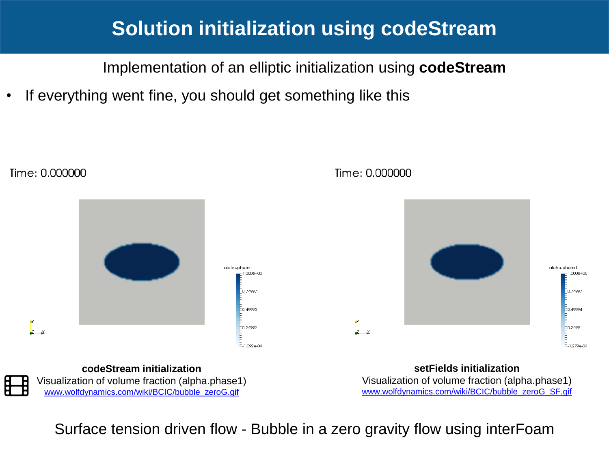Implementation of an elliptic initialization using **codeStream**

• If everything went fine, you should get something like this



Time: 0.000000

[www.wolfdynamics.com/wiki/BCIC/bubble\\_zeroG.gif](http://www.wolfdynamics.com/wiki/BCIC/bubble_zeroG.gif)

[www.wolfdynamics.com/wiki/BCIC/bubble\\_zeroG\\_SF.gif](http://www.wolfdynamics.com/wiki/BCIC/bubble_zeroG_SF.gif)

Surface tension driven flow - Bubble in a zero gravity flow using interFoam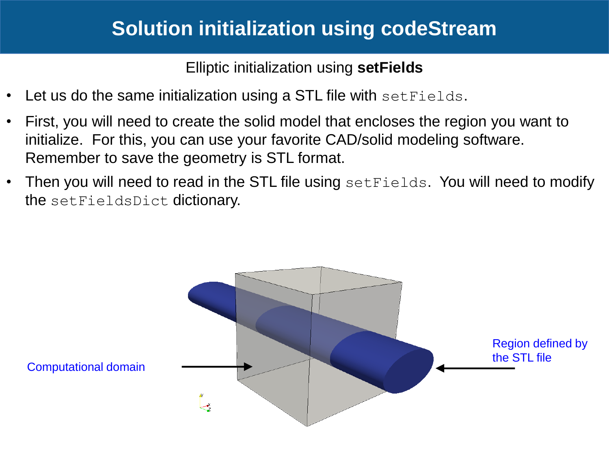Elliptic initialization using **setFields**

- Let us do the same initialization using a STL file with set Fields.
- First, you will need to create the solid model that encloses the region you want to initialize. For this, you can use your favorite CAD/solid modeling software. Remember to save the geometry is STL format.
- Then you will need to read in the STL file using set Fields. You will need to modify the setFieldsDict dictionary.

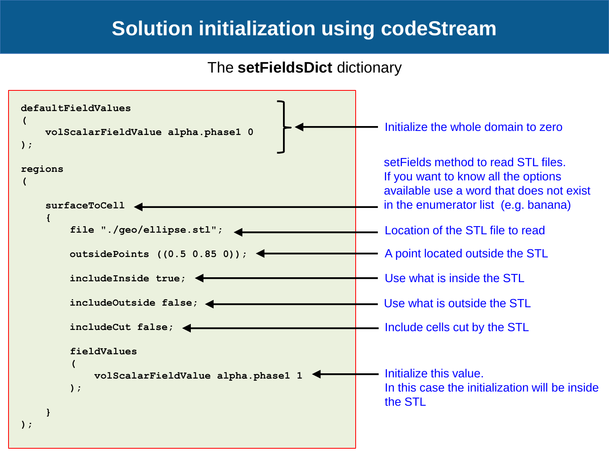The **setFieldsDict** dictionary

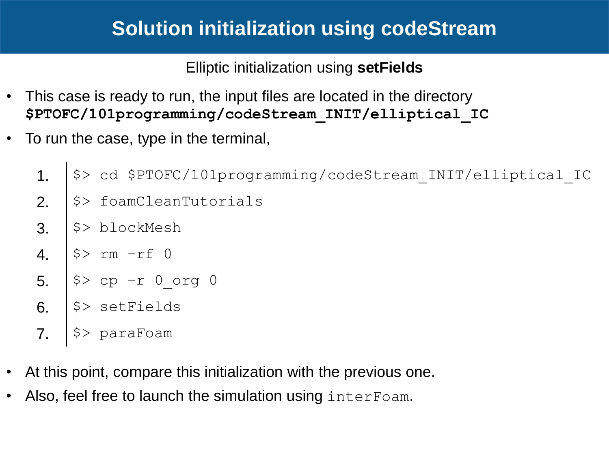Elliptic initialization using **setFields**

- This case is ready to run, the input files are located in the directory **\$PTOFC/101programming/codeStream\_INIT/elliptical\_IC**
- To run the case, type in the terminal,
	- 1. | \$> cd \$PTOFC/101programming/codeStream\_INIT/elliptical\_IC
	- $2.$   $\sqrt{5}$  foamCleanTutorials
	- $3. \mid \frac{5}{2}$  blockMesh
	- 4.  $|$ \$> rm  $-rf$  0
	- 5.  $|$ \$> cp -r 0 org 0
	- 6.  $|$ \$> setFields
	- 7.  $|$  \$> paraFoam
- At this point, compare this initialization with the previous one.
- Also, feel free to launch the simulation using interFoam.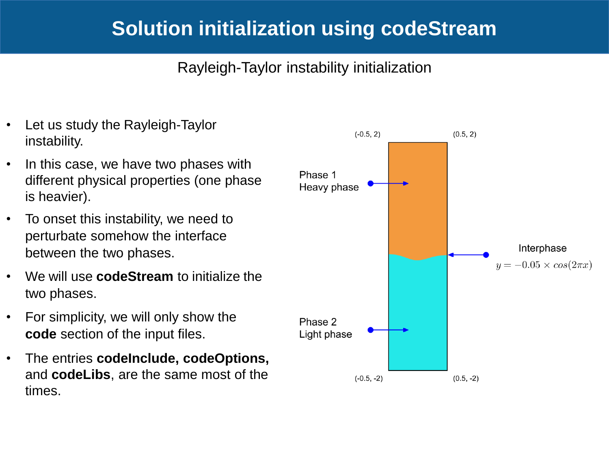#### Rayleigh-Taylor instability initialization

- Let us study the Rayleigh-Taylor instability.
- In this case, we have two phases with different physical properties (one phase is heavier).
- To onset this instability, we need to perturbate somehow the interface between the two phases.
- We will use **codeStream** to initialize the two phases.
- For simplicity, we will only show the **code** section of the input files.
- The entries **codeInclude, codeOptions,**  and **codeLibs**, are the same most of the times.

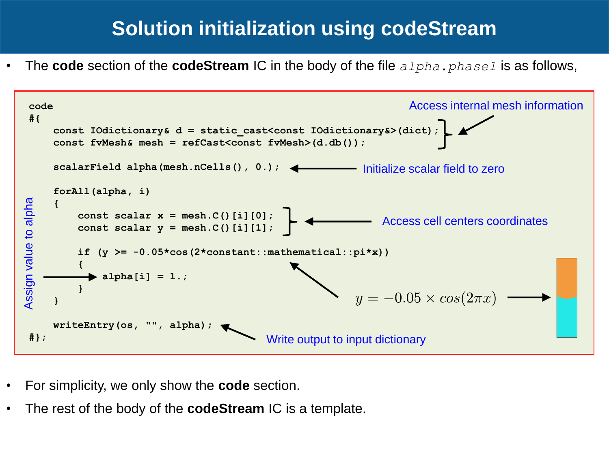• The **code** section of the **codeStream** IC in the body of the file *alpha.phase1* is as follows,



- For simplicity, we only show the **code** section.
- The rest of the body of the **codeStream** IC is a template.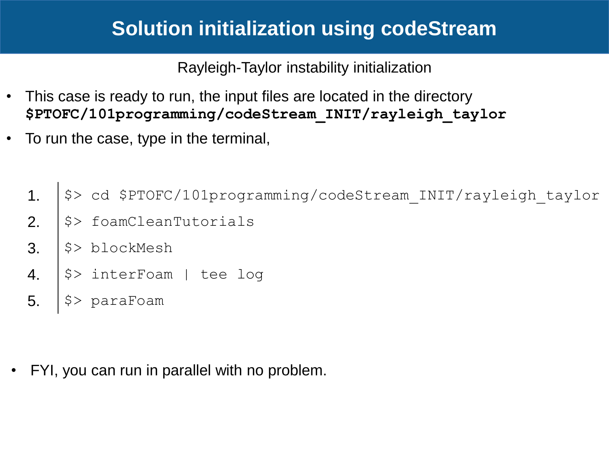Rayleigh-Taylor instability initialization

- This case is ready to run, the input files are located in the directory **\$PTOFC/101programming/codeStream\_INIT/rayleigh\_taylor**
- To run the case, type in the terminal,
	- 1. | \$> cd \$PTOFC/101programming/codeStream INIT/rayleigh taylor
	- 2.  $|\hat{\varphi}\rangle$  foamCleanTutorials
	- $3.$   $\sqrt{5}$  blockMesh
	- 4.  $|$ \$> interFoam | tee log
	- 5.  $|s\rangle$  paraFoam

• FYI, you can run in parallel with no problem.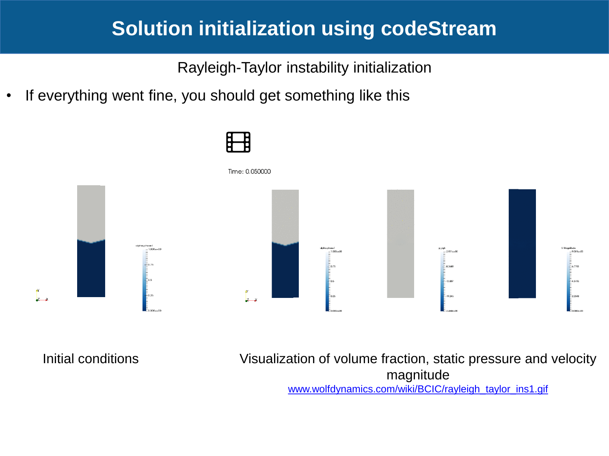Rayleigh-Taylor instability initialization

• If everything went fine, you should get something like this



Initial conditions

Visualization of volume fraction, static pressure and velocity magnitude [www.wolfdynamics.com/wiki/BCIC/rayleigh\\_taylor\\_ins1.gif](http://www.wolfdynamics.com/wiki/BCIC/rayleigh_taylor_ins1.gif)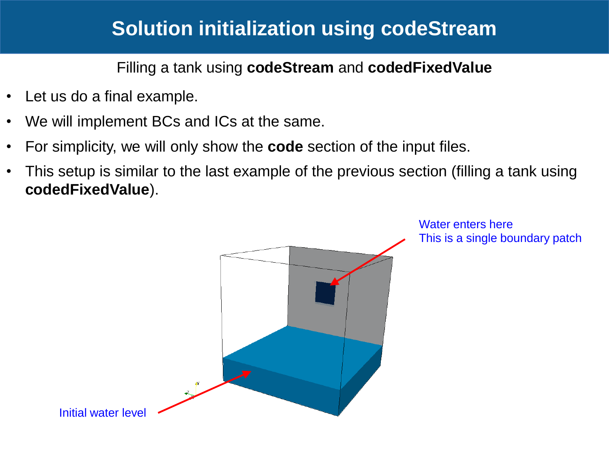Filling a tank using **codeStream** and **codedFixedValue**

- Let us do a final example.
- We will implement BCs and ICs at the same.
- For simplicity, we will only show the **code** section of the input files.
- This setup is similar to the last example of the previous section (filling a tank using **codedFixedValue**).



Water enters here This is a single boundary patch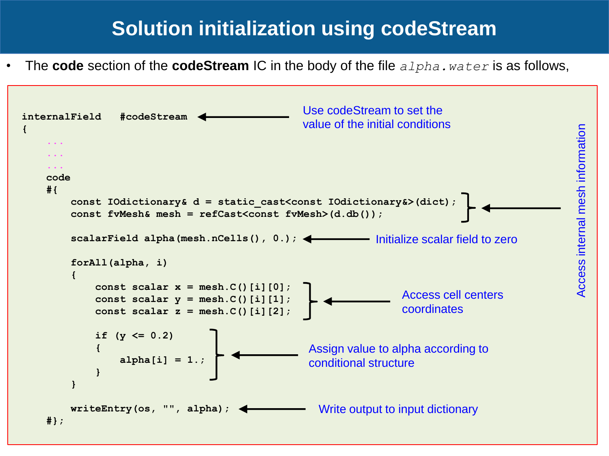• The **code** section of the **codeStream** IC in the body of the file *alpha.water* is as follows,

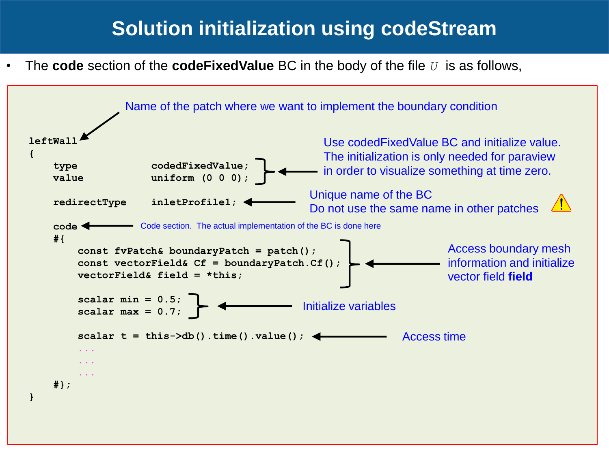• The **code** section of the **codeFixedValue** BC in the body of the file *U* is as follows,

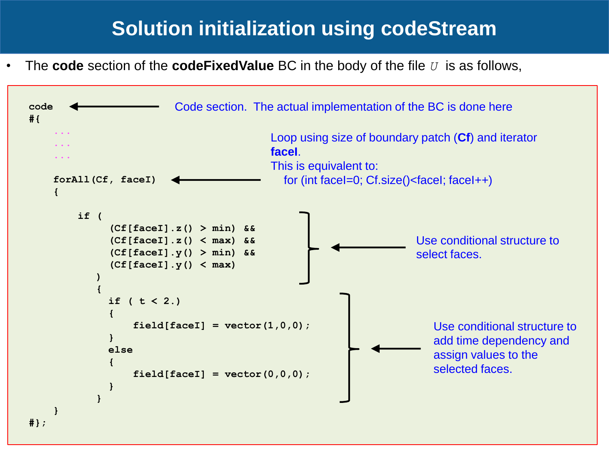• The **code** section of the **codeFixedValue** BC in the body of the file *U* is as follows,

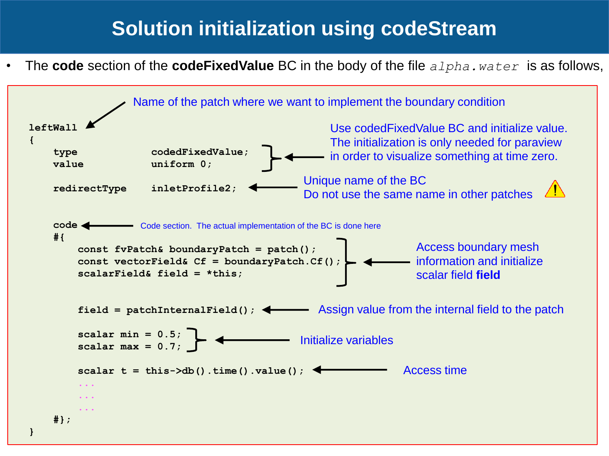• The **code** section of the **codeFixedValue** BC in the body of the file *alpha.water* is as follows,

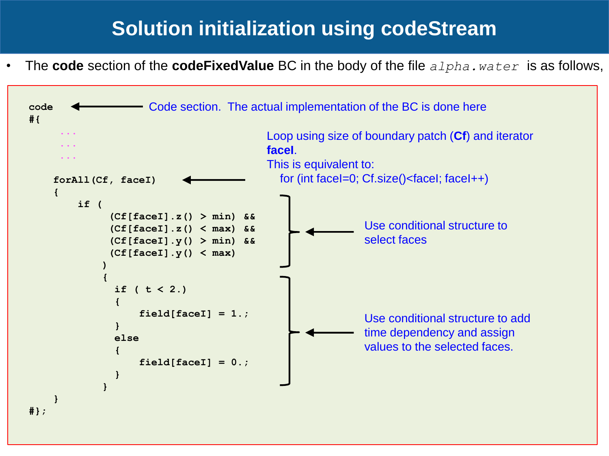• The **code** section of the **codeFixedValue** BC in the body of the file *alpha.water* is as follows,